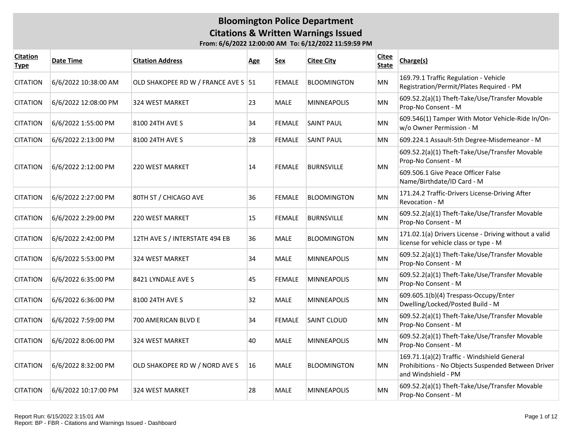| <b>Citation</b><br><b>Type</b> | Date Time            | <b>Citation Address</b>             | <b>Age</b> | <b>Sex</b>    | <b>Citee City</b>  | <b>Citee</b><br><b>State</b> | Charge(s)                                                                                                                |
|--------------------------------|----------------------|-------------------------------------|------------|---------------|--------------------|------------------------------|--------------------------------------------------------------------------------------------------------------------------|
| <b>CITATION</b>                | 6/6/2022 10:38:00 AM | OLD SHAKOPEE RD W / FRANCE AVE S 51 |            | <b>FEMALE</b> | <b>BLOOMINGTON</b> | MN                           | 169.79.1 Traffic Regulation - Vehicle<br>Registration/Permit/Plates Required - PM                                        |
| <b>CITATION</b>                | 6/6/2022 12:08:00 PM | <b>324 WEST MARKET</b>              | 23         | <b>MALE</b>   | <b>MINNEAPOLIS</b> | MN                           | 609.52.2(a)(1) Theft-Take/Use/Transfer Movable<br>Prop-No Consent - M                                                    |
| <b>CITATION</b>                | 6/6/2022 1:55:00 PM  | 8100 24TH AVE S                     | 34         | <b>FEMALE</b> | <b>SAINT PAUL</b>  | MN                           | 609.546(1) Tamper With Motor Vehicle-Ride In/On-<br>w/o Owner Permission - M                                             |
| <b>CITATION</b>                | 6/6/2022 2:13:00 PM  | 8100 24TH AVE S                     | 28         | <b>FEMALE</b> | <b>SAINT PAUL</b>  | ΜN                           | 609.224.1 Assault-5th Degree-Misdemeanor - M                                                                             |
| <b>CITATION</b>                | 6/6/2022 2:12:00 PM  | <b>220 WEST MARKET</b>              | 14         | <b>FEMALE</b> | <b>BURNSVILLE</b>  | <b>MN</b>                    | 609.52.2(a)(1) Theft-Take/Use/Transfer Movable<br>Prop-No Consent - M                                                    |
|                                |                      |                                     |            |               |                    |                              | 609.506.1 Give Peace Officer False<br>Name/Birthdate/ID Card - M                                                         |
| <b>CITATION</b>                | 6/6/2022 2:27:00 PM  | 80TH ST / CHICAGO AVE               | 36         | <b>FEMALE</b> | <b>BLOOMINGTON</b> | MN                           | 171.24.2 Traffic-Drivers License-Driving After<br>Revocation - M                                                         |
| <b>CITATION</b>                | 6/6/2022 2:29:00 PM  | <b>220 WEST MARKET</b>              | 15         | <b>FEMALE</b> | <b>BURNSVILLE</b>  | <b>MN</b>                    | 609.52.2(a)(1) Theft-Take/Use/Transfer Movable<br>Prop-No Consent - M                                                    |
| <b>CITATION</b>                | 6/6/2022 2:42:00 PM  | 12TH AVE S / INTERSTATE 494 EB      | 36         | <b>MALE</b>   | <b>BLOOMINGTON</b> | MN                           | 171.02.1(a) Drivers License - Driving without a valid<br>license for vehicle class or type - M                           |
| <b>CITATION</b>                | 6/6/2022 5:53:00 PM  | <b>324 WEST MARKET</b>              | 34         | <b>MALE</b>   | <b>MINNEAPOLIS</b> | MN                           | 609.52.2(a)(1) Theft-Take/Use/Transfer Movable<br>Prop-No Consent - M                                                    |
| <b>CITATION</b>                | 6/6/2022 6:35:00 PM  | 8421 LYNDALE AVE S                  | 45         | <b>FEMALE</b> | <b>MINNEAPOLIS</b> | MN                           | 609.52.2(a)(1) Theft-Take/Use/Transfer Movable<br>Prop-No Consent - M                                                    |
| <b>CITATION</b>                | 6/6/2022 6:36:00 PM  | 8100 24TH AVE S                     | 32         | <b>MALE</b>   | MINNEAPOLIS        | MN                           | 609.605.1(b)(4) Trespass-Occupy/Enter<br>Dwelling/Locked/Posted Build - M                                                |
| <b>CITATION</b>                | 6/6/2022 7:59:00 PM  | 700 AMERICAN BLVD E                 | 34         | <b>FEMALE</b> | <b>SAINT CLOUD</b> | MN                           | 609.52.2(a)(1) Theft-Take/Use/Transfer Movable<br>Prop-No Consent - M                                                    |
| <b>CITATION</b>                | 6/6/2022 8:06:00 PM  | <b>324 WEST MARKET</b>              | 40         | <b>MALE</b>   | <b>MINNEAPOLIS</b> | MN                           | 609.52.2(a)(1) Theft-Take/Use/Transfer Movable<br>Prop-No Consent - M                                                    |
| <b>CITATION</b>                | 6/6/2022 8:32:00 PM  | OLD SHAKOPEE RD W / NORD AVE S      | 16         | <b>MALE</b>   | <b>BLOOMINGTON</b> | MN                           | 169.71.1(a)(2) Traffic - Windshield General<br>Prohibitions - No Objects Suspended Between Driver<br>and Windshield - PM |
| <b>CITATION</b>                | 6/6/2022 10:17:00 PM | 324 WEST MARKET                     | 28         | <b>MALE</b>   | <b>MINNEAPOLIS</b> | MN                           | 609.52.2(a)(1) Theft-Take/Use/Transfer Movable<br>Prop-No Consent - M                                                    |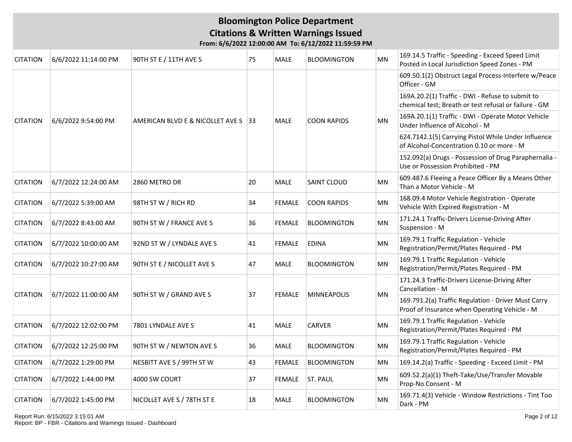| <b>CITATION</b> | 6/6/2022 11:14:00 PM | 90TH ST E / 11TH AVE S              | 75 | <b>MALE</b>   | <b>BLOOMINGTON</b> | MN        | 169.14.5 Traffic - Speeding - Exceed Speed Limit<br>Posted in Local Jurisdiction Speed Zones - PM         |
|-----------------|----------------------|-------------------------------------|----|---------------|--------------------|-----------|-----------------------------------------------------------------------------------------------------------|
|                 |                      |                                     |    |               |                    |           | 609.50.1(2) Obstruct Legal Process-Interfere w/Peace<br>Officer - GM                                      |
|                 |                      |                                     |    | <b>MALE</b>   |                    |           | 169A.20.2(1) Traffic - DWI - Refuse to submit to<br>chemical test; Breath or test refusal or failure - GM |
| <b>CITATION</b> | 6/6/2022 9:54:00 PM  | AMERICAN BLVD E & NICOLLET AVE S 33 |    |               | <b>COON RAPIDS</b> | MN        | 169A.20.1(1) Traffic - DWI - Operate Motor Vehicle<br>Under Influence of Alcohol - M                      |
|                 |                      |                                     |    |               |                    |           | 624.7142.1(5) Carrying Pistol While Under Influence<br>of Alcohol-Concentration 0.10 or more - M          |
|                 |                      |                                     |    |               |                    |           | 152.092(a) Drugs - Possession of Drug Paraphernalia -<br>Use or Possession Prohibited - PM                |
| <b>CITATION</b> | 6/7/2022 12:24:00 AM | 2860 METRO DR                       | 20 | <b>MALE</b>   | SAINT CLOUD        | MN        | 609.487.6 Fleeing a Peace Officer By a Means Other<br>Than a Motor Vehicle - M                            |
| <b>CITATION</b> | 6/7/2022 5:39:00 AM  | 98TH ST W / RICH RD                 | 34 | <b>FEMALE</b> | <b>COON RAPIDS</b> | MN        | 168.09.4 Motor Vehicle Registration - Operate<br>Vehicle With Expired Registration - M                    |
| <b>CITATION</b> | 6/7/2022 8:43:00 AM  | 90TH ST W / FRANCE AVE S            | 36 | <b>FEMALE</b> | <b>BLOOMINGTON</b> | <b>MN</b> | 171.24.1 Traffic-Drivers License-Driving After<br>Suspension - M                                          |
| <b>CITATION</b> | 6/7/2022 10:00:00 AM | 92ND ST W / LYNDALE AVE S           | 41 | <b>FEMALE</b> | <b>EDINA</b>       | <b>MN</b> | 169.79.1 Traffic Regulation - Vehicle<br>Registration/Permit/Plates Required - PM                         |
| <b>CITATION</b> | 6/7/2022 10:27:00 AM | 90TH ST E / NICOLLET AVE S          | 47 | MALE          | <b>BLOOMINGTON</b> | MN        | 169.79.1 Traffic Regulation - Vehicle<br>Registration/Permit/Plates Required - PM                         |
| <b>CITATION</b> | 6/7/2022 11:00:00 AM | 90TH ST W / GRAND AVE S             | 37 | <b>FEMALE</b> | <b>MINNEAPOLIS</b> | <b>MN</b> | 171.24.3 Traffic-Drivers License-Driving After<br>Cancellation - M                                        |
|                 |                      |                                     |    |               |                    |           | 169.791.2(a) Traffic Regulation - Driver Must Carry<br>Proof of Insurance when Operating Vehicle - M      |
| <b>CITATION</b> | 6/7/2022 12:02:00 PM | 7801 LYNDALE AVE S                  | 41 | <b>MALE</b>   | <b>CARVER</b>      | <b>MN</b> | 169.79.1 Traffic Regulation - Vehicle<br>Registration/Permit/Plates Required - PM                         |
| <b>CITATION</b> | 6/7/2022 12:25:00 PM | 90TH ST W / NEWTON AVE S            | 36 | MALE          | <b>BLOOMINGTON</b> | MN        | 169.79.1 Traffic Regulation - Vehicle<br>Registration/Permit/Plates Required - PM                         |
| <b>CITATION</b> | 6/7/2022 1:29:00 PM  | NESBITT AVE S / 99TH ST W           | 43 | <b>FEMALE</b> | <b>BLOOMINGTON</b> | <b>MN</b> | 169.14.2(a) Traffic - Speeding - Exceed Limit - PM                                                        |
| <b>CITATION</b> | 6/7/2022 1:44:00 PM  | 4000 SW COURT                       | 37 | <b>FEMALE</b> | <b>ST. PAUL</b>    | MN        | 609.52.2(a)(1) Theft-Take/Use/Transfer Movable<br>Prop-No Consent - M                                     |
| <b>CITATION</b> | 6/7/2022 1:45:00 PM  | NICOLLET AVE S / 78TH ST E          | 18 | <b>MALE</b>   | <b>BLOOMINGTON</b> | <b>MN</b> | 169.71.4(3) Vehicle - Window Restrictions - Tint Too<br>Dark - PM                                         |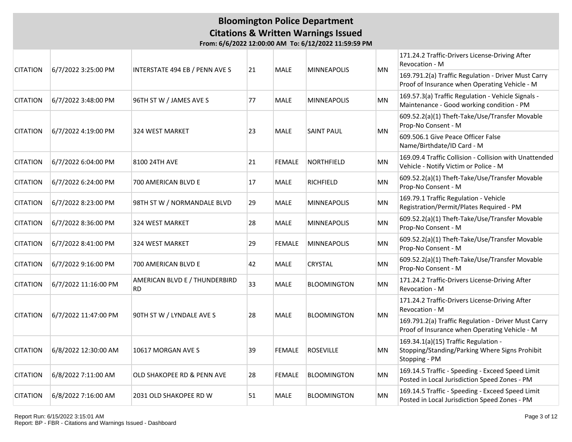|                 | 6/7/2022 3:25:00 PM  | <b>INTERSTATE 494 EB / PENN AVE S</b>      | 21 | <b>MALE</b>   | <b>MINNEAPOLIS</b> | MN        | 171.24.2 Traffic-Drivers License-Driving After<br>Revocation - M                                        |
|-----------------|----------------------|--------------------------------------------|----|---------------|--------------------|-----------|---------------------------------------------------------------------------------------------------------|
| <b>CITATION</b> |                      |                                            |    |               |                    |           | 169.791.2(a) Traffic Regulation - Driver Must Carry<br>Proof of Insurance when Operating Vehicle - M    |
| <b>CITATION</b> | 6/7/2022 3:48:00 PM  | 96TH ST W / JAMES AVE S                    | 77 | <b>MALE</b>   | <b>MINNEAPOLIS</b> | MN        | 169.57.3(a) Traffic Regulation - Vehicle Signals -<br>Maintenance - Good working condition - PM         |
|                 |                      |                                            |    |               |                    |           | 609.52.2(a)(1) Theft-Take/Use/Transfer Movable<br>Prop-No Consent - M                                   |
| <b>CITATION</b> | 6/7/2022 4:19:00 PM  | 324 WEST MARKET                            | 23 | MALE          | <b>SAINT PAUL</b>  | MN        | 609.506.1 Give Peace Officer False<br>Name/Birthdate/ID Card - M                                        |
| <b>CITATION</b> | 6/7/2022 6:04:00 PM  | 8100 24TH AVE                              | 21 | <b>FEMALE</b> | NORTHFIELD         | MN        | 169.09.4 Traffic Collision - Collision with Unattended<br>Vehicle - Notify Victim or Police - M         |
| <b>CITATION</b> | 6/7/2022 6:24:00 PM  | 700 AMERICAN BLVD E                        | 17 | <b>MALE</b>   | <b>RICHFIELD</b>   | MN        | 609.52.2(a)(1) Theft-Take/Use/Transfer Movable<br>Prop-No Consent - M                                   |
| <b>CITATION</b> | 6/7/2022 8:23:00 PM  | 98TH ST W / NORMANDALE BLVD                | 29 | MALE          | <b>MINNEAPOLIS</b> | <b>MN</b> | 169.79.1 Traffic Regulation - Vehicle<br>Registration/Permit/Plates Required - PM                       |
| <b>CITATION</b> | 6/7/2022 8:36:00 PM  | 324 WEST MARKET                            | 28 | MALE          | <b>MINNEAPOLIS</b> | MN        | 609.52.2(a)(1) Theft-Take/Use/Transfer Movable<br>Prop-No Consent - M                                   |
| <b>CITATION</b> | 6/7/2022 8:41:00 PM  | <b>324 WEST MARKET</b>                     | 29 | <b>FEMALE</b> | <b>MINNEAPOLIS</b> | MN        | 609.52.2(a)(1) Theft-Take/Use/Transfer Movable<br>Prop-No Consent - M                                   |
| <b>CITATION</b> | 6/7/2022 9:16:00 PM  | 700 AMERICAN BLVD E                        | 42 | <b>MALE</b>   | <b>CRYSTAL</b>     | <b>MN</b> | 609.52.2(a)(1) Theft-Take/Use/Transfer Movable<br>Prop-No Consent - M                                   |
| <b>CITATION</b> | 6/7/2022 11:16:00 PM | AMERICAN BLVD E / THUNDERBIRD<br><b>RD</b> | 33 | <b>MALE</b>   | <b>BLOOMINGTON</b> | <b>MN</b> | 171.24.2 Traffic-Drivers License-Driving After<br>Revocation - M                                        |
|                 |                      |                                            |    |               |                    |           | 171.24.2 Traffic-Drivers License-Driving After<br>Revocation - M                                        |
| <b>CITATION</b> | 6/7/2022 11:47:00 PM | 90TH ST W / LYNDALE AVE S                  | 28 | <b>MALE</b>   | <b>BLOOMINGTON</b> | <b>MN</b> | 169.791.2(a) Traffic Regulation - Driver Must Carry<br>Proof of Insurance when Operating Vehicle - M    |
| <b>CITATION</b> | 6/8/2022 12:30:00 AM | 10617 MORGAN AVE S                         | 39 | <b>FEMALE</b> | <b>ROSEVILLE</b>   | ΜN        | 169.34.1(a)(15) Traffic Regulation -<br>Stopping/Standing/Parking Where Signs Prohibit<br>Stopping - PM |
| <b>CITATION</b> | 6/8/2022 7:11:00 AM  | OLD SHAKOPEE RD & PENN AVE                 | 28 | <b>FEMALE</b> | <b>BLOOMINGTON</b> | <b>MN</b> | 169.14.5 Traffic - Speeding - Exceed Speed Limit<br>Posted in Local Jurisdiction Speed Zones - PM       |
| <b>CITATION</b> | 6/8/2022 7:16:00 AM  | 2031 OLD SHAKOPEE RD W                     | 51 | <b>MALE</b>   | <b>BLOOMINGTON</b> | <b>MN</b> | 169.14.5 Traffic - Speeding - Exceed Speed Limit<br>Posted in Local Jurisdiction Speed Zones - PM       |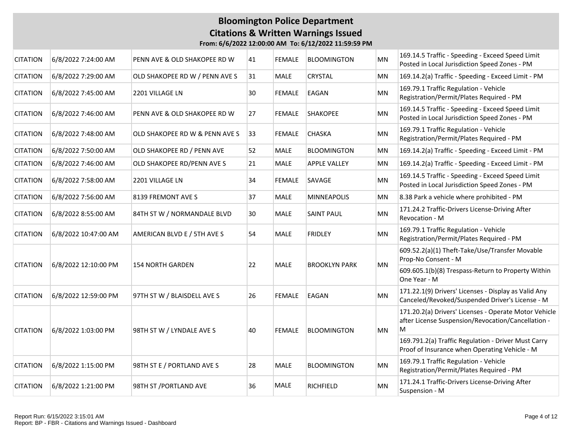### **Bloomington Police Department Citations & Written Warnings Issued From: 6/6/2022 12:00:00 AM To: 6/12/2022 11:59:59 PM**

| <b>CITATION</b> | 6/8/2022 7:24:00 AM  | PENN AVE & OLD SHAKOPEE RD W   | 41 | <b>FEMALE</b> | <b>BLOOMINGTON</b>   | MN        | 169.14.5 Traffic - Speeding - Exceed Speed Limit<br>Posted in Local Jurisdiction Speed Zones - PM                |
|-----------------|----------------------|--------------------------------|----|---------------|----------------------|-----------|------------------------------------------------------------------------------------------------------------------|
| <b>CITATION</b> | 6/8/2022 7:29:00 AM  | OLD SHAKOPEE RD W / PENN AVE S | 31 | <b>MALE</b>   | CRYSTAL              | MN        | 169.14.2(a) Traffic - Speeding - Exceed Limit - PM                                                               |
| <b>CITATION</b> | 6/8/2022 7:45:00 AM  | 2201 VILLAGE LN                | 30 | FEMALE        | EAGAN                | MN        | 169.79.1 Traffic Regulation - Vehicle<br>Registration/Permit/Plates Required - PM                                |
| <b>CITATION</b> | 6/8/2022 7:46:00 AM  | PENN AVE & OLD SHAKOPEE RD W   | 27 | <b>FEMALE</b> | <b>SHAKOPEE</b>      | MN        | 169.14.5 Traffic - Speeding - Exceed Speed Limit<br>Posted in Local Jurisdiction Speed Zones - PM                |
| <b>CITATION</b> | 6/8/2022 7:48:00 AM  | OLD SHAKOPEE RD W & PENN AVE S | 33 | <b>FEMALE</b> | CHASKA               | <b>MN</b> | 169.79.1 Traffic Regulation - Vehicle<br>Registration/Permit/Plates Required - PM                                |
| <b>CITATION</b> | 6/8/2022 7:50:00 AM  | OLD SHAKOPEE RD / PENN AVE     | 52 | <b>MALE</b>   | <b>BLOOMINGTON</b>   | MN        | 169.14.2(a) Traffic - Speeding - Exceed Limit - PM                                                               |
| <b>CITATION</b> | 6/8/2022 7:46:00 AM  | OLD SHAKOPEE RD/PENN AVE S     | 21 | MALE          | <b>APPLE VALLEY</b>  | MN        | 169.14.2(a) Traffic - Speeding - Exceed Limit - PM                                                               |
| <b>CITATION</b> | 6/8/2022 7:58:00 AM  | 2201 VILLAGE LN                | 34 | <b>FEMALE</b> | SAVAGE               | <b>MN</b> | 169.14.5 Traffic - Speeding - Exceed Speed Limit<br>Posted in Local Jurisdiction Speed Zones - PM                |
| <b>CITATION</b> | 6/8/2022 7:56:00 AM  | 8139 FREMONT AVE S             | 37 | <b>MALE</b>   | <b>MINNEAPOLIS</b>   | MN        | 8.38 Park a vehicle where prohibited - PM                                                                        |
| <b>CITATION</b> | 6/8/2022 8:55:00 AM  | 84TH ST W / NORMANDALE BLVD    | 30 | MALE          | <b>SAINT PAUL</b>    | <b>MN</b> | 171.24.2 Traffic-Drivers License-Driving After<br><b>Revocation - M</b>                                          |
| <b>CITATION</b> | 6/8/2022 10:47:00 AM | AMERICAN BLVD E / 5TH AVE S    | 54 | <b>MALE</b>   | <b>FRIDLEY</b>       | <b>MN</b> | 169.79.1 Traffic Regulation - Vehicle<br>Registration/Permit/Plates Required - PM                                |
| <b>CITATION</b> |                      | <b>154 NORTH GARDEN</b>        | 22 | <b>MALE</b>   | <b>BROOKLYN PARK</b> | MN        | 609.52.2(a)(1) Theft-Take/Use/Transfer Movable<br>Prop-No Consent - M                                            |
|                 | 6/8/2022 12:10:00 PM |                                |    |               |                      |           | 609.605.1(b)(8) Trespass-Return to Property Within<br>One Year - M                                               |
| <b>CITATION</b> | 6/8/2022 12:59:00 PM | 97TH ST W / BLAISDELL AVE S    | 26 | <b>FEMALE</b> | EAGAN                | <b>MN</b> | 171.22.1(9) Drivers' Licenses - Display as Valid Any<br>Canceled/Revoked/Suspended Driver's License - M          |
| <b>CITATION</b> | 6/8/2022 1:03:00 PM  | 98TH ST W / LYNDALE AVE S      | 40 | <b>FEMALE</b> | <b>BLOOMINGTON</b>   | MN        | 171.20.2(a) Drivers' Licenses - Operate Motor Vehicle<br>after License Suspension/Revocation/Cancellation -<br>M |
|                 |                      |                                |    |               |                      |           | 169.791.2(a) Traffic Regulation - Driver Must Carry<br>Proof of Insurance when Operating Vehicle - M             |
| <b>CITATION</b> | 6/8/2022 1:15:00 PM  | 98TH ST E / PORTLAND AVE S     | 28 | <b>MALE</b>   | <b>BLOOMINGTON</b>   | <b>MN</b> | 169.79.1 Traffic Regulation - Vehicle<br>Registration/Permit/Plates Required - PM                                |
| <b>CITATION</b> | 6/8/2022 1:21:00 PM  | 98TH ST /PORTLAND AVE          | 36 | <b>MALE</b>   | <b>RICHFIELD</b>     | <b>MN</b> | 171.24.1 Traffic-Drivers License-Driving After<br>Suspension - M                                                 |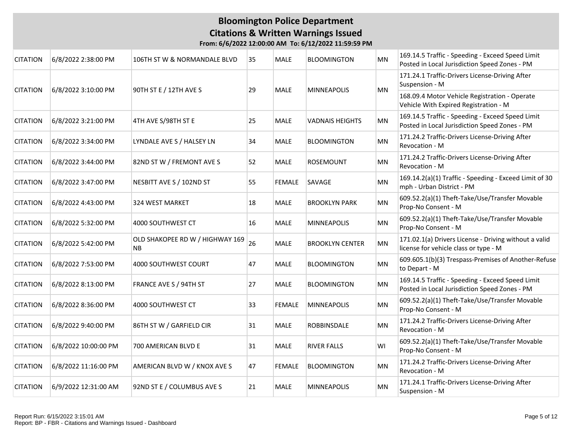| <b>CITATION</b> | 6/8/2022 2:38:00 PM    | 106TH ST W & NORMANDALE BLVD                 | 35 | <b>MALE</b>                                                                            | <b>BLOOMINGTON</b>     | <b>MN</b> | 169.14.5 Traffic - Speeding - Exceed Speed Limit<br>Posted in Local Jurisdiction Speed Zones - PM |
|-----------------|------------------------|----------------------------------------------|----|----------------------------------------------------------------------------------------|------------------------|-----------|---------------------------------------------------------------------------------------------------|
| <b>CITATION</b> | 6/8/2022 3:10:00 PM    |                                              | 29 | <b>MALE</b>                                                                            | <b>MINNEAPOLIS</b>     | MN        | 171.24.1 Traffic-Drivers License-Driving After<br>Suspension - M                                  |
|                 | 90TH ST E / 12TH AVE S |                                              |    | 168.09.4 Motor Vehicle Registration - Operate<br>Vehicle With Expired Registration - M |                        |           |                                                                                                   |
| <b>CITATION</b> | 6/8/2022 3:21:00 PM    | 4TH AVE S/98TH ST E                          | 25 | <b>MALE</b>                                                                            | <b>VADNAIS HEIGHTS</b> | <b>MN</b> | 169.14.5 Traffic - Speeding - Exceed Speed Limit<br>Posted in Local Jurisdiction Speed Zones - PM |
| <b>CITATION</b> | 6/8/2022 3:34:00 PM    | LYNDALE AVE S / HALSEY LN                    | 34 | MALE                                                                                   | <b>BLOOMINGTON</b>     | MN        | 171.24.2 Traffic-Drivers License-Driving After<br>Revocation - M                                  |
| <b>CITATION</b> | 6/8/2022 3:44:00 PM    | 82ND ST W / FREMONT AVE S                    | 52 | MALE                                                                                   | <b>ROSEMOUNT</b>       | MN        | 171.24.2 Traffic-Drivers License-Driving After<br>Revocation - M                                  |
| <b>CITATION</b> | 6/8/2022 3:47:00 PM    | NESBITT AVE S / 102ND ST                     | 55 | <b>FEMALE</b>                                                                          | SAVAGE                 | <b>MN</b> | 169.14.2(a)(1) Traffic - Speeding - Exceed Limit of 30<br>mph - Urban District - PM               |
| <b>CITATION</b> | 6/8/2022 4:43:00 PM    | 324 WEST MARKET                              | 18 | <b>MALE</b>                                                                            | <b>BROOKLYN PARK</b>   | MN.       | 609.52.2(a)(1) Theft-Take/Use/Transfer Movable<br>Prop-No Consent - M                             |
| <b>CITATION</b> | 6/8/2022 5:32:00 PM    | 4000 SOUTHWEST CT                            | 16 | <b>MALE</b>                                                                            | <b>MINNEAPOLIS</b>     | MN        | 609.52.2(a)(1) Theft-Take/Use/Transfer Movable<br>Prop-No Consent - M                             |
| <b>CITATION</b> | 6/8/2022 5:42:00 PM    | OLD SHAKOPEE RD W / HIGHWAY 169<br><b>NB</b> | 26 | <b>MALE</b>                                                                            | <b>BROOKLYN CENTER</b> | MN        | 171.02.1(a) Drivers License - Driving without a valid<br>license for vehicle class or type - M    |
| <b>CITATION</b> | 6/8/2022 7:53:00 PM    | 4000 SOUTHWEST COURT                         | 47 | <b>MALE</b>                                                                            | <b>BLOOMINGTON</b>     | <b>MN</b> | 609.605.1(b)(3) Trespass-Premises of Another-Refuse<br>to Depart - M                              |
| <b>CITATION</b> | 6/8/2022 8:13:00 PM    | FRANCE AVE S / 94TH ST                       | 27 | <b>MALE</b>                                                                            | <b>BLOOMINGTON</b>     | MN        | 169.14.5 Traffic - Speeding - Exceed Speed Limit<br>Posted in Local Jurisdiction Speed Zones - PM |
| <b>CITATION</b> | 6/8/2022 8:36:00 PM    | 4000 SOUTHWEST CT                            | 33 | <b>FEMALE</b>                                                                          | <b>MINNEAPOLIS</b>     | MN        | 609.52.2(a)(1) Theft-Take/Use/Transfer Movable<br>Prop-No Consent - M                             |
| <b>CITATION</b> | 6/8/2022 9:40:00 PM    | 86TH ST W / GARFIELD CIR                     | 31 | <b>MALE</b>                                                                            | ROBBINSDALE            | MN        | 171.24.2 Traffic-Drivers License-Driving After<br>Revocation - M                                  |
| <b>CITATION</b> | 6/8/2022 10:00:00 PM   | 700 AMERICAN BLVD E                          | 31 | <b>MALE</b>                                                                            | <b>RIVER FALLS</b>     | WI        | 609.52.2(a)(1) Theft-Take/Use/Transfer Movable<br>Prop-No Consent - M                             |
| <b>CITATION</b> | 6/8/2022 11:16:00 PM   | AMERICAN BLVD W / KNOX AVE S                 | 47 | <b>FEMALE</b>                                                                          | <b>BLOOMINGTON</b>     | MN        | 171.24.2 Traffic-Drivers License-Driving After<br>Revocation - M                                  |
| <b>CITATION</b> | 6/9/2022 12:31:00 AM   | 92ND ST E / COLUMBUS AVE S                   | 21 | <b>MALE</b>                                                                            | <b>MINNEAPOLIS</b>     | MN        | 171.24.1 Traffic-Drivers License-Driving After<br>Suspension - M                                  |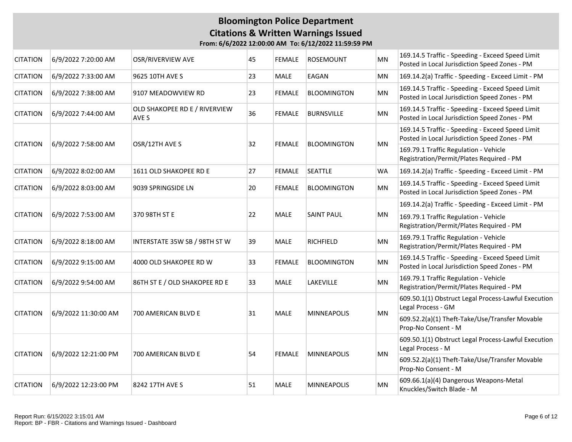### **Bloomington Police Department Citations & Written Warnings Issued From: 6/6/2022 12:00:00 AM To: 6/12/2022 11:59:59 PM**

| <b>CITATION</b> | 6/9/2022 7:20:00 AM                                                            | OSR/RIVERVIEW AVE                      | 45 | <b>FEMALE</b>                                                                     | ROSEMOUNT          | <b>MN</b> | 169.14.5 Traffic - Speeding - Exceed Speed Limit<br>Posted in Local Jurisdiction Speed Zones - PM |
|-----------------|--------------------------------------------------------------------------------|----------------------------------------|----|-----------------------------------------------------------------------------------|--------------------|-----------|---------------------------------------------------------------------------------------------------|
| <b>CITATION</b> | 6/9/2022 7:33:00 AM                                                            | 9625 10TH AVE S                        | 23 | <b>MALE</b>                                                                       | EAGAN              | MN        | 169.14.2(a) Traffic - Speeding - Exceed Limit - PM                                                |
| <b>CITATION</b> | 6/9/2022 7:38:00 AM                                                            | 9107 MEADOWVIEW RD                     | 23 | FEMALE                                                                            | <b>BLOOMINGTON</b> | MN        | 169.14.5 Traffic - Speeding - Exceed Speed Limit<br>Posted in Local Jurisdiction Speed Zones - PM |
| <b>CITATION</b> | 6/9/2022 7:44:00 AM                                                            | OLD SHAKOPEE RD E / RIVERVIEW<br>AVE S | 36 | <b>FEMALE</b>                                                                     | <b>BURNSVILLE</b>  | <b>MN</b> | 169.14.5 Traffic - Speeding - Exceed Speed Limit<br>Posted in Local Jurisdiction Speed Zones - PM |
| <b>CITATION</b> | 6/9/2022 7:58:00 AM                                                            | OSR/12TH AVE S                         | 32 | <b>FEMALE</b>                                                                     | <b>BLOOMINGTON</b> | MN        | 169.14.5 Traffic - Speeding - Exceed Speed Limit<br>Posted in Local Jurisdiction Speed Zones - PM |
|                 |                                                                                |                                        |    |                                                                                   |                    |           | 169.79.1 Traffic Regulation - Vehicle<br>Registration/Permit/Plates Required - PM                 |
| <b>CITATION</b> | 6/9/2022 8:02:00 AM                                                            | 1611 OLD SHAKOPEE RD E                 | 27 | <b>FEMALE</b>                                                                     | <b>SEATTLE</b>     | <b>WA</b> | 169.14.2(a) Traffic - Speeding - Exceed Limit - PM                                                |
| <b>CITATION</b> | 6/9/2022 8:03:00 AM                                                            | 9039 SPRINGSIDE LN                     | 20 | <b>FEMALE</b>                                                                     | <b>BLOOMINGTON</b> | <b>MN</b> | 169.14.5 Traffic - Speeding - Exceed Speed Limit<br>Posted in Local Jurisdiction Speed Zones - PM |
|                 |                                                                                |                                        |    | 169.14.2(a) Traffic - Speeding - Exceed Limit - PM                                |                    |           |                                                                                                   |
| <b>CITATION</b> | 6/9/2022 7:53:00 AM<br>370 98TH ST E<br>22<br><b>MALE</b><br><b>SAINT PAUL</b> |                                        | MN | 169.79.1 Traffic Regulation - Vehicle<br>Registration/Permit/Plates Required - PM |                    |           |                                                                                                   |
| <b>CITATION</b> | 6/9/2022 8:18:00 AM                                                            | INTERSTATE 35W SB / 98TH ST W          | 39 | <b>MALE</b>                                                                       | RICHFIELD          | <b>MN</b> | 169.79.1 Traffic Regulation - Vehicle<br>Registration/Permit/Plates Required - PM                 |
| <b>CITATION</b> | 6/9/2022 9:15:00 AM                                                            | 4000 OLD SHAKOPEE RD W                 | 33 | <b>FEMALE</b>                                                                     | <b>BLOOMINGTON</b> | <b>MN</b> | 169.14.5 Traffic - Speeding - Exceed Speed Limit<br>Posted in Local Jurisdiction Speed Zones - PM |
| <b>CITATION</b> | 6/9/2022 9:54:00 AM                                                            | 86TH ST E / OLD SHAKOPEE RD E          | 33 | <b>MALE</b>                                                                       | LAKEVILLE          | MN        | 169.79.1 Traffic Regulation - Vehicle<br>Registration/Permit/Plates Required - PM                 |
| <b>CITATION</b> | 6/9/2022 11:30:00 AM                                                           | 700 AMERICAN BLVD E                    | 31 | <b>MALE</b>                                                                       | <b>MINNEAPOLIS</b> | <b>MN</b> | 609.50.1(1) Obstruct Legal Process-Lawful Execution<br>Legal Process - GM                         |
|                 |                                                                                |                                        |    |                                                                                   |                    |           | 609.52.2(a)(1) Theft-Take/Use/Transfer Movable<br>Prop-No Consent - M                             |
|                 | 6/9/2022 12:21:00 PM                                                           |                                        | 54 |                                                                                   | <b>MINNEAPOLIS</b> | MN        | 609.50.1(1) Obstruct Legal Process-Lawful Execution<br>Legal Process - M                          |
| <b>CITATION</b> |                                                                                | 700 AMERICAN BLVD E                    |    | <b>FEMALE</b>                                                                     |                    |           | 609.52.2(a)(1) Theft-Take/Use/Transfer Movable<br>Prop-No Consent - M                             |
| <b>CITATION</b> | 6/9/2022 12:23:00 PM                                                           | 8242 17TH AVE S                        | 51 | <b>MALE</b>                                                                       | <b>MINNEAPOLIS</b> | MN        | 609.66.1(a)(4) Dangerous Weapons-Metal<br>Knuckles/Switch Blade - M                               |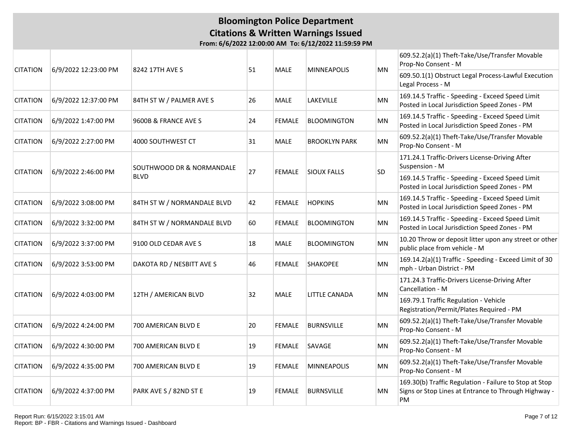|                 | 6/9/2022 12:23:00 PM | 8242 17TH AVE S             |    | <b>MALE</b>   |                      | <b>MN</b> | 609.52.2(a)(1) Theft-Take/Use/Transfer Movable<br>Prop-No Consent - M                                                |
|-----------------|----------------------|-----------------------------|----|---------------|----------------------|-----------|----------------------------------------------------------------------------------------------------------------------|
| <b>CITATION</b> |                      |                             | 51 |               | <b>MINNEAPOLIS</b>   |           | 609.50.1(1) Obstruct Legal Process-Lawful Execution<br>Legal Process - M                                             |
| <b>CITATION</b> | 6/9/2022 12:37:00 PM | 84TH ST W / PALMER AVE S    | 26 | <b>MALE</b>   | LAKEVILLE            | <b>MN</b> | 169.14.5 Traffic - Speeding - Exceed Speed Limit<br>Posted in Local Jurisdiction Speed Zones - PM                    |
| <b>CITATION</b> | 6/9/2022 1:47:00 PM  | 9600B & FRANCE AVE S        | 24 | <b>FEMALE</b> | <b>BLOOMINGTON</b>   | MN        | 169.14.5 Traffic - Speeding - Exceed Speed Limit<br>Posted in Local Jurisdiction Speed Zones - PM                    |
| <b>CITATION</b> | 6/9/2022 2:27:00 PM  | 4000 SOUTHWEST CT           | 31 | <b>MALE</b>   | <b>BROOKLYN PARK</b> | MN        | 609.52.2(a)(1) Theft-Take/Use/Transfer Movable<br>Prop-No Consent - M                                                |
|                 | 6/9/2022 2:46:00 PM  | SOUTHWOOD DR & NORMANDALE   | 27 | <b>FEMALE</b> |                      | SD        | 171.24.1 Traffic-Drivers License-Driving After<br>Suspension - M                                                     |
| <b>CITATION</b> |                      | <b>BLVD</b>                 |    |               | <b>SIOUX FALLS</b>   |           | 169.14.5 Traffic - Speeding - Exceed Speed Limit<br>Posted in Local Jurisdiction Speed Zones - PM                    |
| <b>CITATION</b> | 6/9/2022 3:08:00 PM  | 84TH ST W / NORMANDALE BLVD | 42 | <b>FEMALE</b> | <b>HOPKINS</b>       | MN        | 169.14.5 Traffic - Speeding - Exceed Speed Limit<br>Posted in Local Jurisdiction Speed Zones - PM                    |
| <b>CITATION</b> | 6/9/2022 3:32:00 PM  | 84TH ST W / NORMANDALE BLVD | 60 | <b>FEMALE</b> | <b>BLOOMINGTON</b>   | MN        | 169.14.5 Traffic - Speeding - Exceed Speed Limit<br>Posted in Local Jurisdiction Speed Zones - PM                    |
| <b>CITATION</b> | 6/9/2022 3:37:00 PM  | 9100 OLD CEDAR AVE S        | 18 | <b>MALE</b>   | <b>BLOOMINGTON</b>   | MN        | 10.20 Throw or deposit litter upon any street or other<br>public place from vehicle - M                              |
| <b>CITATION</b> | 6/9/2022 3:53:00 PM  | DAKOTA RD / NESBITT AVE S   | 46 | <b>FEMALE</b> | <b>SHAKOPEE</b>      | MN        | 169.14.2(a)(1) Traffic - Speeding - Exceed Limit of 30<br>mph - Urban District - PM                                  |
|                 |                      |                             |    |               |                      |           | 171.24.3 Traffic-Drivers License-Driving After<br>Cancellation - M                                                   |
| <b>CITATION</b> | 6/9/2022 4:03:00 PM  | 12TH / AMERICAN BLVD        | 32 | <b>MALE</b>   | LITTLE CANADA        | MN        | 169.79.1 Traffic Regulation - Vehicle<br>Registration/Permit/Plates Required - PM                                    |
| <b>CITATION</b> | 6/9/2022 4:24:00 PM  | 700 AMERICAN BLVD E         | 20 | <b>FEMALE</b> | <b>BURNSVILLE</b>    | MN        | 609.52.2(a)(1) Theft-Take/Use/Transfer Movable<br>Prop-No Consent - M                                                |
| <b>CITATION</b> | 6/9/2022 4:30:00 PM  | 700 AMERICAN BLVD E         | 19 | <b>FEMALE</b> | SAVAGE               | MN        | 609.52.2(a)(1) Theft-Take/Use/Transfer Movable<br>Prop-No Consent - M                                                |
| <b>CITATION</b> | 6/9/2022 4:35:00 PM  | 700 AMERICAN BLVD E         | 19 | <b>FEMALE</b> | <b>MINNEAPOLIS</b>   | MN        | 609.52.2(a)(1) Theft-Take/Use/Transfer Movable<br>Prop-No Consent - M                                                |
| <b>CITATION</b> | 6/9/2022 4:37:00 PM  | PARK AVE S / 82ND ST E      | 19 | <b>FEMALE</b> | <b>BURNSVILLE</b>    | MN        | 169.30(b) Traffic Regulation - Failure to Stop at Stop<br>Signs or Stop Lines at Entrance to Through Highway -<br>PM |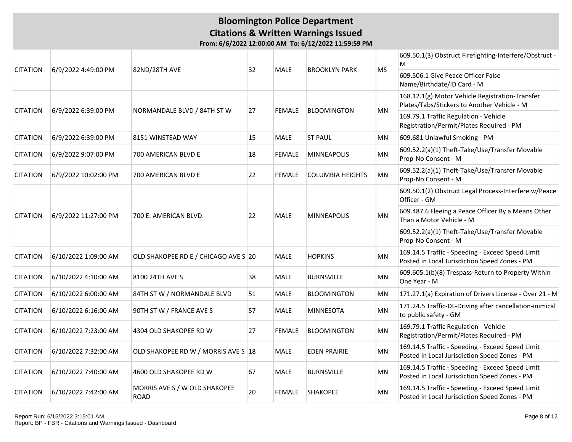|                 |                      |                                              |    | MALE          |                         | <b>MS</b> | 609.50.1(3) Obstruct Firefighting-Interfere/Obstruct -<br>M                                       |
|-----------------|----------------------|----------------------------------------------|----|---------------|-------------------------|-----------|---------------------------------------------------------------------------------------------------|
| <b>CITATION</b> | 6/9/2022 4:49:00 PM  | 82ND/28TH AVE                                | 32 |               | <b>BROOKLYN PARK</b>    |           | 609.506.1 Give Peace Officer False<br>Name/Birthdate/ID Card - M                                  |
|                 |                      |                                              |    |               |                         |           | 168.12.1(g) Motor Vehicle Registration-Transfer<br>Plates/Tabs/Stickers to Another Vehicle - M    |
| <b>CITATION</b> | 6/9/2022 6:39:00 PM  | NORMANDALE BLVD / 84TH ST W                  | 27 | <b>FEMALE</b> | <b>BLOOMINGTON</b>      | MN        | 169.79.1 Traffic Regulation - Vehicle<br>Registration/Permit/Plates Required - PM                 |
| <b>CITATION</b> | 6/9/2022 6:39:00 PM  | 8151 WINSTEAD WAY                            | 15 | MALE          | <b>ST PAUL</b>          | <b>MN</b> | 609.681 Unlawful Smoking - PM                                                                     |
| <b>CITATION</b> | 6/9/2022 9:07:00 PM  | 700 AMERICAN BLVD E                          | 18 | <b>FEMALE</b> | <b>MINNEAPOLIS</b>      | <b>MN</b> | 609.52.2(a)(1) Theft-Take/Use/Transfer Movable<br>Prop-No Consent - M                             |
| <b>CITATION</b> | 6/9/2022 10:02:00 PM | 700 AMERICAN BLVD E                          | 22 | <b>FEMALE</b> | <b>COLUMBIA HEIGHTS</b> | <b>MN</b> | 609.52.2(a)(1) Theft-Take/Use/Transfer Movable<br>Prop-No Consent - M                             |
|                 |                      |                                              |    |               |                         |           | 609.50.1(2) Obstruct Legal Process-Interfere w/Peace<br>Officer - GM                              |
| <b>CITATION</b> | 6/9/2022 11:27:00 PM | 700 E. AMERICAN BLVD.                        | 22 | MALE          | <b>MINNEAPOLIS</b>      | <b>MN</b> | 609.487.6 Fleeing a Peace Officer By a Means Other<br>Than a Motor Vehicle - M                    |
|                 |                      |                                              |    |               |                         |           | 609.52.2(a)(1) Theft-Take/Use/Transfer Movable<br>Prop-No Consent - M                             |
| <b>CITATION</b> | 6/10/2022 1:09:00 AM | OLD SHAKOPEE RD E / CHICAGO AVE S 20         |    | <b>MALE</b>   | <b>HOPKINS</b>          | <b>MN</b> | 169.14.5 Traffic - Speeding - Exceed Speed Limit<br>Posted in Local Jurisdiction Speed Zones - PM |
| <b>CITATION</b> | 6/10/2022 4:10:00 AM | 8100 24TH AVE S                              | 38 | <b>MALE</b>   | <b>BURNSVILLE</b>       | <b>MN</b> | 609.605.1(b)(8) Trespass-Return to Property Within<br>One Year - M                                |
| <b>CITATION</b> | 6/10/2022 6:00:00 AM | 84TH ST W / NORMANDALE BLVD                  | 51 | <b>MALE</b>   | <b>BLOOMINGTON</b>      | MN        | 171.27.1(a) Expiration of Drivers License - Over 21 - M                                           |
| <b>CITATION</b> | 6/10/2022 6:16:00 AM | 90TH ST W / FRANCE AVE S                     | 57 | <b>MALE</b>   | <b>MINNESOTA</b>        | <b>MN</b> | 171.24.5 Traffic-DL-Driving after cancellation-inimical<br>to public safety - GM                  |
| <b>CITATION</b> | 6/10/2022 7:23:00 AM | 4304 OLD SHAKOPEE RD W                       | 27 | <b>FEMALE</b> | <b>BLOOMINGTON</b>      | <b>MN</b> | 169.79.1 Traffic Regulation - Vehicle<br>Registration/Permit/Plates Required - PM                 |
| <b>CITATION</b> | 6/10/2022 7:32:00 AM | OLD SHAKOPEE RD W / MORRIS AVE S 18          |    | MALE          | <b>EDEN PRAIRIE</b>     | MN        | 169.14.5 Traffic - Speeding - Exceed Speed Limit<br>Posted in Local Jurisdiction Speed Zones - PM |
| <b>CITATION</b> | 6/10/2022 7:40:00 AM | 4600 OLD SHAKOPEE RD W                       | 67 | MALE          | <b>BURNSVILLE</b>       | <b>MN</b> | 169.14.5 Traffic - Speeding - Exceed Speed Limit<br>Posted in Local Jurisdiction Speed Zones - PM |
| <b>CITATION</b> | 6/10/2022 7:42:00 AM | MORRIS AVE S / W OLD SHAKOPEE<br><b>ROAD</b> | 20 | <b>FEMALE</b> | <b>SHAKOPEE</b>         | <b>MN</b> | 169.14.5 Traffic - Speeding - Exceed Speed Limit<br>Posted in Local Jurisdiction Speed Zones - PM |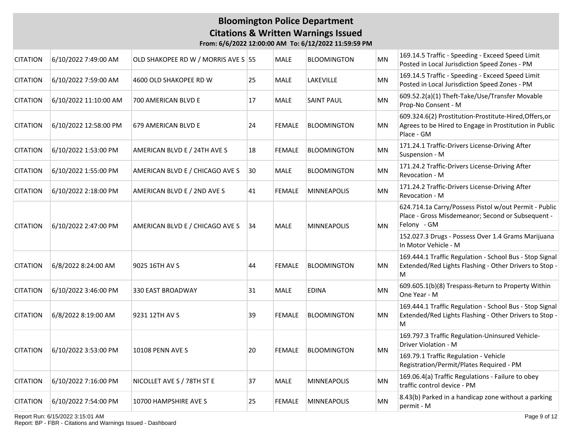**From: 6/6/2022 12:00:00 AM To: 6/12/2022 11:59:59 PM**

| 6/10/2022 7:49:00 AM  |                                 |                         | <b>MALE</b>                                       | BLOOMINGTON        | MN                 | 169.14.5 Traffic - Speeding - Exceed Speed Limit<br>Posted in Local Jurisdiction Speed Zones - PM                              |
|-----------------------|---------------------------------|-------------------------|---------------------------------------------------|--------------------|--------------------|--------------------------------------------------------------------------------------------------------------------------------|
| 6/10/2022 7:59:00 AM  | 4600 OLD SHAKOPEE RD W          | 25                      | <b>MALE</b>                                       | LAKEVILLE          | <b>MN</b>          | 169.14.5 Traffic - Speeding - Exceed Speed Limit<br>Posted in Local Jurisdiction Speed Zones - PM                              |
| 6/10/2022 11:10:00 AM | 700 AMERICAN BLVD E             | 17                      | <b>MALE</b>                                       | <b>SAINT PAUL</b>  | MN                 | 609.52.2(a)(1) Theft-Take/Use/Transfer Movable<br>Prop-No Consent - M                                                          |
| 6/10/2022 12:58:00 PM | 679 AMERICAN BLVD E             | 24                      | <b>FEMALE</b>                                     | <b>BLOOMINGTON</b> | ΜN                 | 609.324.6(2) Prostitution-Prostitute-Hired, Offers, or<br>Agrees to be Hired to Engage in Prostitution in Public<br>Place - GM |
| 6/10/2022 1:53:00 PM  | AMERICAN BLVD E / 24TH AVE S    | 18                      | <b>FEMALE</b>                                     | <b>BLOOMINGTON</b> | MN                 | 171.24.1 Traffic-Drivers License-Driving After<br>Suspension - M                                                               |
| 6/10/2022 1:55:00 PM  | AMERICAN BLVD E / CHICAGO AVE S | 30                      | <b>MALE</b>                                       | BLOOMINGTON        | MN                 | 171.24.2 Traffic-Drivers License-Driving After<br>Revocation - M                                                               |
| 6/10/2022 2:18:00 PM  | AMERICAN BLVD E / 2ND AVE S     | 41                      | <b>FEMALE</b>                                     | <b>MINNEAPOLIS</b> | MN                 | 171.24.2 Traffic-Drivers License-Driving After<br>Revocation - M                                                               |
| 6/10/2022 2:47:00 PM  | AMERICAN BLVD E / CHICAGO AVE S |                         | <b>MALE</b>                                       | <b>MINNEAPOLIS</b> | <b>MN</b>          | 624.714.1a Carry/Possess Pistol w/out Permit - Public<br>Place - Gross Misdemeanor; Second or Subsequent -<br>Felony - GM      |
|                       |                                 |                         |                                                   |                    |                    | 152.027.3 Drugs - Possess Over 1.4 Grams Marijuana<br>In Motor Vehicle - M                                                     |
| 6/8/2022 8:24:00 AM   | 9025 16TH AV S                  | 44                      | <b>FEMALE</b>                                     | <b>BLOOMINGTON</b> | MN                 | 169.444.1 Traffic Regulation - School Bus - Stop Signal<br>Extended/Red Lights Flashing - Other Drivers to Stop -<br>M         |
| 6/10/2022 3:46:00 PM  | <b>330 EAST BROADWAY</b>        | 31                      | <b>MALE</b>                                       | <b>EDINA</b>       | <b>MN</b>          | 609.605.1(b)(8) Trespass-Return to Property Within<br>One Year - M                                                             |
| 6/8/2022 8:19:00 AM   | 9231 12TH AV S                  | 39                      | <b>FEMALE</b>                                     | <b>BLOOMINGTON</b> | <b>MN</b>          | 169.444.1 Traffic Regulation - School Bus - Stop Signal<br>Extended/Red Lights Flashing - Other Drivers to Stop -<br>М         |
|                       |                                 |                         |                                                   |                    |                    | 169.797.3 Traffic Regulation-Uninsured Vehicle-<br>Driver Violation - M                                                        |
|                       |                                 |                         |                                                   |                    |                    | 169.79.1 Traffic Regulation - Vehicle<br>Registration/Permit/Plates Required - PM                                              |
| 6/10/2022 7:16:00 PM  | NICOLLET AVE S / 78TH ST E      | 37                      | <b>MALE</b>                                       | MINNEAPOLIS        | MN                 | 169.06.4(a) Traffic Regulations - Failure to obey<br>traffic control device - PM                                               |
| 6/10/2022 7:54:00 PM  | 10700 HAMPSHIRE AVE S           | 25                      | <b>FEMALE</b>                                     | <b>MINNEAPOLIS</b> | <b>MN</b>          | 8.43(b) Parked in a handicap zone without a parking<br>permit - M                                                              |
|                       | 6/10/2022 3:53:00 PM            | <b>10108 PENN AVE S</b> | OLD SHAKOPEE RD W / MORRIS AVE S 55<br> 34 <br>20 | <b>FEMALE</b>      | <b>BLOOMINGTON</b> | <b>MN</b>                                                                                                                      |

Report Run: 6/15/2022 3:15:01 AM

Report: BP - FBR - Citations and Warnings Issued - Dashboard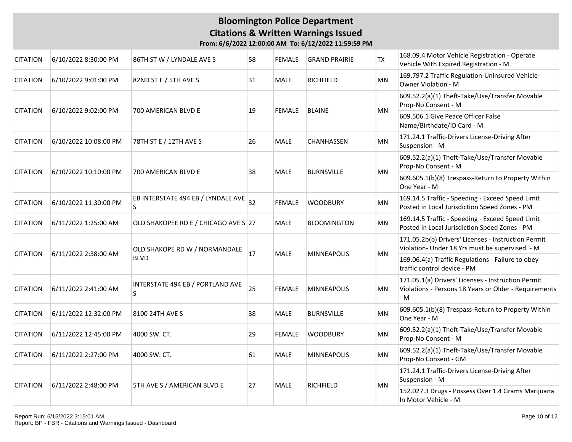| <b>CITATION</b> | 6/10/2022 8:30:00 PM  | 86TH ST W / LYNDALE AVE S                    | 58 | FEMALE        | <b>GRAND PRAIRIE</b> | TX        | 168.09.4 Motor Vehicle Registration - Operate<br>Vehicle With Expired Registration - M                             |
|-----------------|-----------------------|----------------------------------------------|----|---------------|----------------------|-----------|--------------------------------------------------------------------------------------------------------------------|
| <b>CITATION</b> | 6/10/2022 9:01:00 PM  | 82ND ST E / 5TH AVE S                        | 31 | <b>MALE</b>   | <b>RICHFIELD</b>     | <b>MN</b> | 169.797.2 Traffic Regulation-Uninsured Vehicle-<br>Owner Violation - M                                             |
| <b>CITATION</b> | 6/10/2022 9:02:00 PM  | 700 AMERICAN BLVD E                          | 19 | <b>FEMALE</b> | <b>BLAINE</b>        | ΜN        | 609.52.2(a)(1) Theft-Take/Use/Transfer Movable<br>Prop-No Consent - M                                              |
|                 |                       |                                              |    |               |                      |           | 609.506.1 Give Peace Officer False<br>Name/Birthdate/ID Card - M                                                   |
| <b>CITATION</b> | 6/10/2022 10:08:00 PM | 78TH ST E / 12TH AVE S                       | 26 | <b>MALE</b>   | <b>CHANHASSEN</b>    | <b>MN</b> | 171.24.1 Traffic-Drivers License-Driving After<br>Suspension - M                                                   |
| <b>CITATION</b> | 6/10/2022 10:10:00 PM | 700 AMERICAN BLVD E                          | 38 | <b>MALE</b>   | <b>BURNSVILLE</b>    | MN        | 609.52.2(a)(1) Theft-Take/Use/Transfer Movable<br>Prop-No Consent - M                                              |
|                 |                       |                                              |    |               |                      |           | 609.605.1(b)(8) Trespass-Return to Property Within<br>One Year - M                                                 |
| <b>CITATION</b> | 6/10/2022 11:30:00 PM | EB INTERSTATE 494 EB / LYNDALE AVE<br>S      | 32 | <b>FEMALE</b> | <b>WOODBURY</b>      | MN        | 169.14.5 Traffic - Speeding - Exceed Speed Limit<br>Posted in Local Jurisdiction Speed Zones - PM                  |
| <b>CITATION</b> | 6/11/2022 1:25:00 AM  | OLD SHAKOPEE RD E / CHICAGO AVE S 27         |    | <b>MALE</b>   | <b>BLOOMINGTON</b>   | <b>MN</b> | 169.14.5 Traffic - Speeding - Exceed Speed Limit<br>Posted in Local Jurisdiction Speed Zones - PM                  |
| <b>CITATION</b> | 6/11/2022 2:38:00 AM  | OLD SHAKOPE RD W / NORMANDALE<br><b>BLVD</b> | 17 | <b>MALE</b>   | <b>MINNEAPOLIS</b>   | MN        | 171.05.2b(b) Drivers' Licenses - Instruction Permit<br>Violation- Under 18 Yrs must be supervised. - M             |
|                 |                       |                                              |    |               |                      |           | 169.06.4(a) Traffic Regulations - Failure to obey<br>traffic control device - PM                                   |
| <b>CITATION</b> | 6/11/2022 2:41:00 AM  | INTERSTATE 494 EB / PORTLAND AVE<br>S        | 25 | <b>FEMALE</b> | <b>MINNEAPOLIS</b>   | <b>MN</b> | 171.05.1(a) Drivers' Licenses - Instruction Permit<br>Violations - Persons 18 Years or Older - Requirements<br>- M |
| <b>CITATION</b> | 6/11/2022 12:32:00 PM | 8100 24TH AVE S                              | 38 | <b>MALE</b>   | <b>BURNSVILLE</b>    | <b>MN</b> | 609.605.1(b)(8) Trespass-Return to Property Within<br>One Year - M                                                 |
| <b>CITATION</b> | 6/11/2022 12:45:00 PM | 4000 SW. CT.                                 | 29 | FEMALE        | <b>WOODBURY</b>      | MN        | 609.52.2(a)(1) Theft-Take/Use/Transfer Movable<br>Prop-No Consent - M                                              |
| <b>CITATION</b> | 6/11/2022 2:27:00 PM  | 4000 SW. CT.                                 | 61 | <b>MALE</b>   | <b>MINNEAPOLIS</b>   | <b>MN</b> | 609.52.2(a)(1) Theft-Take/Use/Transfer Movable<br>Prop-No Consent - GM                                             |
|                 | 6/11/2022 2:48:00 PM  |                                              | 27 |               | <b>RICHFIELD</b>     | MN        | 171.24.1 Traffic-Drivers License-Driving After<br>Suspension - M                                                   |
| <b>CITATION</b> |                       | 5TH AVE S / AMERICAN BLVD E                  |    | <b>MALE</b>   |                      |           | 152.027.3 Drugs - Possess Over 1.4 Grams Marijuana<br>In Motor Vehicle - M                                         |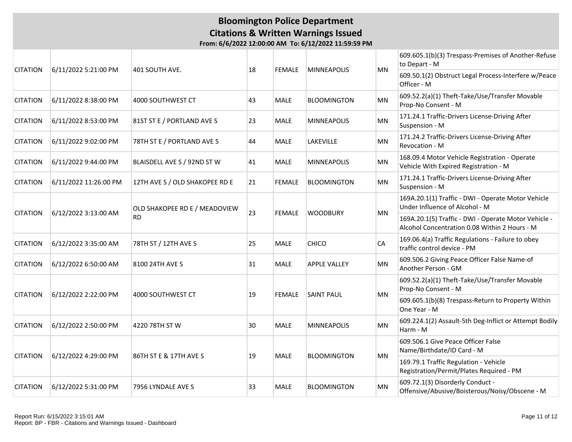### **Bloomington Police Department Citations & Written Warnings Issued From: 6/6/2022 12:00:00 AM To: 6/12/2022 11:59:59 PM**

|                 | 6/11/2022 5:21:00 PM  | 401 SOUTH AVE.                             |    |               |                     |           | 609.605.1(b)(3) Trespass-Premises of Another-Refuse<br>to Depart - M                                  |
|-----------------|-----------------------|--------------------------------------------|----|---------------|---------------------|-----------|-------------------------------------------------------------------------------------------------------|
| <b>CITATION</b> |                       |                                            | 18 | <b>FEMALE</b> | <b>MINNEAPOLIS</b>  | <b>MN</b> | 609.50.1(2) Obstruct Legal Process-Interfere w/Peace<br>Officer - M                                   |
| <b>CITATION</b> | 6/11/2022 8:38:00 PM  | 4000 SOUTHWEST CT                          | 43 | <b>MALE</b>   | <b>BLOOMINGTON</b>  | <b>MN</b> | 609.52.2(a)(1) Theft-Take/Use/Transfer Movable<br>Prop-No Consent - M                                 |
| <b>CITATION</b> | 6/11/2022 8:53:00 PM  | 81ST ST E / PORTLAND AVE S                 | 23 | <b>MALE</b>   | <b>MINNEAPOLIS</b>  | MN        | 171.24.1 Traffic-Drivers License-Driving After<br>Suspension - M                                      |
| <b>CITATION</b> | 6/11/2022 9:02:00 PM  | 78TH ST E / PORTLAND AVE S                 | 44 | <b>MALE</b>   | LAKEVILLE           | MN        | 171.24.2 Traffic-Drivers License-Driving After<br>Revocation - M                                      |
| <b>CITATION</b> | 6/11/2022 9:44:00 PM  | BLAISDELL AVE S / 92ND ST W                | 41 | <b>MALE</b>   | <b>MINNEAPOLIS</b>  | <b>MN</b> | 168.09.4 Motor Vehicle Registration - Operate<br>Vehicle With Expired Registration - M                |
| <b>CITATION</b> | 6/11/2022 11:26:00 PM | 12TH AVE S / OLD SHAKOPEE RD E             | 21 | <b>FEMALE</b> | <b>BLOOMINGTON</b>  | MN        | 171.24.1 Traffic-Drivers License-Driving After<br>Suspension - M                                      |
|                 | 6/12/2022 3:13:00 AM  | OLD SHAKOPEE RD E / MEADOVIEW<br><b>RD</b> |    |               |                     |           | 169A.20.1(1) Traffic - DWI - Operate Motor Vehicle<br>Under Influence of Alcohol - M                  |
| <b>CITATION</b> |                       |                                            | 23 | <b>FEMALE</b> | <b>WOODBURY</b>     | <b>MN</b> | 169A.20.1(5) Traffic - DWI - Operate Motor Vehicle -<br>Alcohol Concentration 0.08 Within 2 Hours - M |
| <b>CITATION</b> | 6/12/2022 3:35:00 AM  | 78TH ST / 12TH AVE S                       | 25 | <b>MALE</b>   | <b>CHICO</b>        | CA        | 169.06.4(a) Traffic Regulations - Failure to obey<br>traffic control device - PM                      |
| <b>CITATION</b> | 6/12/2022 6:50:00 AM  | 8100 24TH AVE S                            | 31 | <b>MALE</b>   | <b>APPLE VALLEY</b> | MN        | 609.506.2 Giving Peace Officer False Name-of<br>Another Person - GM                                   |
|                 |                       |                                            |    |               |                     |           | 609.52.2(a)(1) Theft-Take/Use/Transfer Movable<br>Prop-No Consent - M                                 |
| <b>CITATION</b> | 6/12/2022 2:22:00 PM  | 4000 SOUTHWEST CT                          | 19 | <b>FEMALE</b> | <b>SAINT PAUL</b>   | MN        | 609.605.1(b)(8) Trespass-Return to Property Within<br>One Year - M                                    |
| <b>CITATION</b> | 6/12/2022 2:50:00 PM  | 4220 78TH ST W                             | 30 | <b>MALE</b>   | <b>MINNEAPOLIS</b>  | MN        | 609.224.1(2) Assault-5th Deg-Inflict or Attempt Bodily<br>Harm - M                                    |
|                 |                       |                                            |    |               |                     |           | 609.506.1 Give Peace Officer False<br>Name/Birthdate/ID Card - M                                      |
| <b>CITATION</b> | 6/12/2022 4:29:00 PM  | 86TH ST E & 17TH AVE S                     | 19 | <b>MALE</b>   | <b>BLOOMINGTON</b>  | MN        | 169.79.1 Traffic Regulation - Vehicle<br>Registration/Permit/Plates Required - PM                     |
| <b>CITATION</b> | 6/12/2022 5:31:00 PM  | 7956 LYNDALE AVE S                         | 33 | <b>MALE</b>   | <b>BLOOMINGTON</b>  | MN        | 609.72.1(3) Disorderly Conduct -<br>Offensive/Abusive/Boisterous/Noisy/Obscene - M                    |